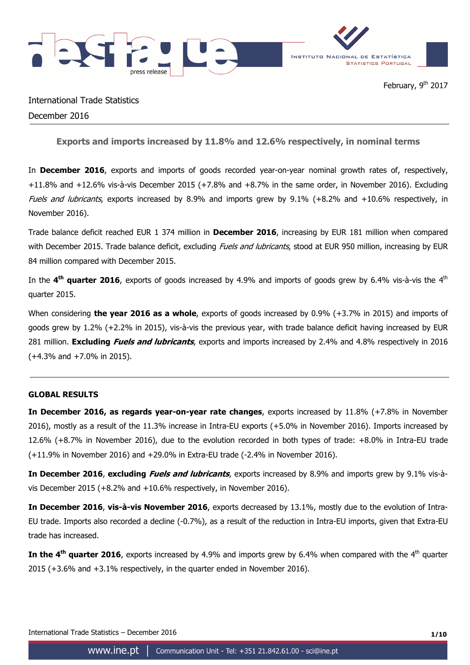

International Trade Statistics December 2016

**Exports and imports increased by 11.8% and 12.6% respectively, in nominal terms** 

In **December 2016**, exports and imports of goods recorded year-on-year nominal growth rates of, respectively, +11.8% and +12.6% vis-à-vis December 2015 (+7.8% and +8.7% in the same order, in November 2016). Excluding Fuels and lubricants, exports increased by 8.9% and imports grew by 9.1% (+8.2% and +10.6% respectively, in November 2016).

Trade balance deficit reached EUR 1 374 million in **December 2016**, increasing by EUR 181 million when compared with December 2015. Trade balance deficit, excluding *Fuels and lubricants*, stood at EUR 950 million, increasing by EUR 84 million compared with December 2015.

In the **4th quarter 2016**, exports of goods increased by 4.9% and imports of goods grew by 6.4% vis-à-vis the 4th quarter 2015.

When considering **the year 2016 as a whole**, exports of goods increased by 0.9% (+3.7% in 2015) and imports of goods grew by 1.2% (+2.2% in 2015), vis-à-vis the previous year, with trade balance deficit having increased by EUR 281 million. **Excluding Fuels and lubricants**, exports and imports increased by 2.4% and 4.8% respectively in 2016 (+4.3% and +7.0% in 2015).

## **GLOBAL RESULTS**

**In December 2016, as regards year-on-year rate changes**, exports increased by 11.8% (+7.8% in November 2016), mostly as a result of the 11.3% increase in Intra-EU exports (+5.0% in November 2016). Imports increased by 12.6% (+8.7% in November 2016), due to the evolution recorded in both types of trade: +8.0% in Intra-EU trade (+11.9% in November 2016) and +29.0% in Extra-EU trade (-2.4% in November 2016).

**In December 2016**, **excluding Fuels and lubricants**, exports increased by 8.9% and imports grew by 9.1% vis-àvis December 2015 (+8.2% and +10.6% respectively, in November 2016).

**In December 2016**, **vis-à-vis November 2016**, exports decreased by 13.1%, mostly due to the evolution of Intra-EU trade. Imports also recorded a decline (-0.7%), as a result of the reduction in Intra-EU imports, given that Extra-EU trade has increased.

**In the 4<sup>th</sup> quarter 2016**, exports increased by 4.9% and imports grew by 6.4% when compared with the 4<sup>th</sup> quarter 2015 (+3.6% and +3.1% respectively, in the quarter ended in November 2016).

International Trade Statistics – December 2016 **1/10**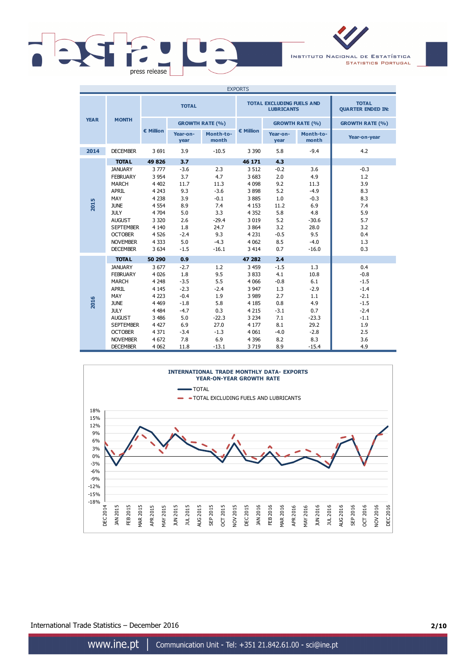

INSTITUTO NACIONAL DE ESTATÍSTICA **STATISTICS PORTUGAL** 

| <b>EXPORTS</b> |                  |           |                        |                    |           |                                                       |                        |                                          |
|----------------|------------------|-----------|------------------------|--------------------|-----------|-------------------------------------------------------|------------------------|------------------------------------------|
|                |                  |           | <b>TOTAL</b>           |                    |           | <b>TOTAL EXCLUDING FUELS AND</b><br><b>LUBRICANTS</b> |                        | <b>TOTAL</b><br><b>QUARTER ENDED IN:</b> |
| <b>YEAR</b>    | <b>MONTH</b>     |           | <b>GROWTH RATE (%)</b> |                    |           |                                                       | <b>GROWTH RATE (%)</b> | <b>GROWTH RATE (%)</b>                   |
|                |                  | € Million | Year-on-<br>year       | Month-to-<br>month | € Million | Year-on-<br>year                                      | Month-to-<br>month     | Year-on-year                             |
| 2014           | <b>DECEMBER</b>  | 3 6 9 1   | 3.9                    | $-10.5$            | 3 3 9 0   | 5.8                                                   | $-9.4$                 | 4.2                                      |
|                | <b>TOTAL</b>     | 49 8 26   | 3.7                    |                    | 46 171    | 4.3                                                   |                        |                                          |
|                | <b>JANUARY</b>   | 3777      | $-3.6$                 | 2.3                | 3 5 1 2   | $-0.2$                                                | 3.6                    | $-0.3$                                   |
|                | <b>FEBRUARY</b>  | 3 9 5 4   | 3.7                    | 4.7                | 3 6 8 3   | 2.0                                                   | 4.9                    | 1.2                                      |
|                | <b>MARCH</b>     | 4 4 0 2   | 11.7                   | 11.3               | 4 0 9 8   | 9.2                                                   | 11.3                   | 3.9                                      |
|                | <b>APRIL</b>     | 4 2 4 3   | 9.3                    | $-3.6$             | 3898      | 5.2                                                   | $-4.9$                 | 8.3                                      |
|                | MAY              | 4 2 3 8   | 3.9                    | $-0.1$             | 3885      | 1.0                                                   | $-0.3$                 | 8.3                                      |
| 2015           | <b>JUNE</b>      | 4 5 5 4   | 8.9                    | 7.4                | 4 1 5 3   | 11.2                                                  | 6.9                    | 7.4                                      |
|                | <b>JULY</b>      | 4 704     | 5.0                    | 3.3                | 4 3 5 2   | 5.8                                                   | 4.8                    | 5.9                                      |
|                | <b>AUGUST</b>    | 3 3 2 0   | 2.6                    | $-29.4$            | 3 0 1 9   | 5.2                                                   | $-30.6$                | 5.7                                      |
|                | <b>SEPTEMBER</b> | 4 1 4 0   | 1.8                    | 24.7               | 3 8 6 4   | 3.2                                                   | 28.0                   | 3.2                                      |
|                | <b>OCTOBER</b>   | 4 5 2 6   | $-2.4$                 | 9.3                | 4 2 3 1   | $-0.5$                                                | 9.5                    | 0.4                                      |
|                | <b>NOVEMBER</b>  | 4 3 3 3   | 5.0                    | $-4.3$             | 4 0 6 2   | 8.5                                                   | $-4.0$                 | 1.3                                      |
|                | <b>DECEMBER</b>  | 3 6 3 4   | $-1.5$                 | $-16.1$            | 3 4 1 4   | 0.7                                                   | $-16.0$                | 0.3                                      |
|                | <b>TOTAL</b>     | 50 290    | 0.9                    |                    | 47 282    | 2.4                                                   |                        |                                          |
|                | <b>JANUARY</b>   | 3677      | $-2.7$                 | 1.2                | 3 4 5 9   | $-1.5$                                                | 1.3                    | 0.4                                      |
|                | <b>FEBRUARY</b>  | 4 0 26    | 1.8                    | 9.5                | 3833      | 4.1                                                   | 10.8                   | $-0.8$                                   |
|                | <b>MARCH</b>     | 4 2 4 8   | $-3.5$                 | 5.5                | 4 0 6 6   | $-0.8$                                                | 6.1                    | $-1.5$                                   |
|                | <b>APRIL</b>     | 4 1 4 5   | $-2.3$                 | $-2.4$             | 3 9 4 7   | 1.3                                                   | $-2.9$                 | $-1.4$                                   |
|                | MAY              | 4 2 23    | $-0.4$                 | 1.9                | 3 9 8 9   | 2.7                                                   | 1.1                    | $-2.1$                                   |
| 2016           | <b>JUNE</b>      | 4 4 6 9   | $-1.8$                 | 5.8                | 4 1 8 5   | 0.8                                                   | 4.9                    | $-1.5$                                   |
|                | <b>JULY</b>      | 4 4 8 4   | $-4.7$                 | 0.3                | 4 2 1 5   | $-3.1$                                                | 0.7                    | $-2.4$                                   |
|                | <b>AUGUST</b>    | 3 4 8 6   | 5.0                    | $-22.3$            | 3 2 3 4   | 7.1                                                   | $-23.3$                | $-1.1$                                   |
|                | <b>SEPTEMBER</b> | 4 4 2 7   | 6.9                    | 27.0               | 4 1 7 7   | 8.1                                                   | 29.2                   | 1.9                                      |
|                | <b>OCTOBER</b>   | 4 3 7 1   | $-3.4$                 | $-1.3$             | 4 0 6 1   | $-4.0$                                                | $-2.8$                 | 2.5                                      |
|                | <b>NOVEMBER</b>  | 4 6 72    | 7.8                    | 6.9                | 4 3 9 6   | 8.2                                                   | 8.3                    | 3.6                                      |
|                | <b>DECEMBER</b>  | 4 0 62    | 11.8                   | $-13.1$            | 3719      | 8.9                                                   | $-15.4$                | 4.9                                      |



International Trade Statistics – December 2016 **2/10**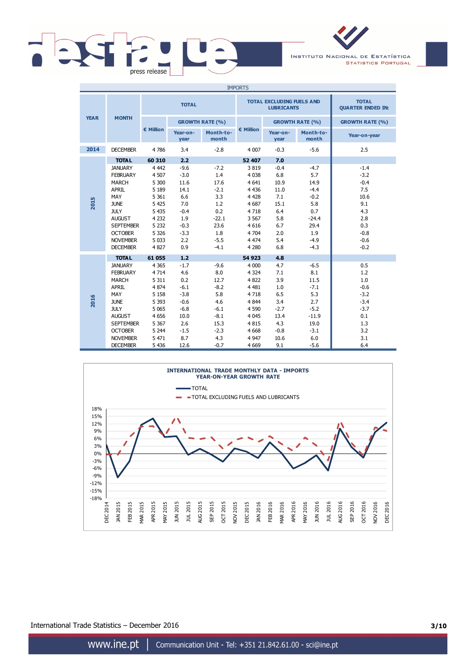



| <b>IMPORTS</b> |                  |           |                  |                        |           |                                                       |                                          |                        |  |
|----------------|------------------|-----------|------------------|------------------------|-----------|-------------------------------------------------------|------------------------------------------|------------------------|--|
|                |                  |           | <b>TOTAL</b>     |                        |           | <b>TOTAL EXCLUDING FUELS AND</b><br><b>LUBRICANTS</b> | <b>TOTAL</b><br><b>QUARTER ENDED IN:</b> |                        |  |
| <b>YEAR</b>    | <b>MONTH</b>     |           |                  | <b>GROWTH RATE (%)</b> |           |                                                       | <b>GROWTH RATE (%)</b>                   | <b>GROWTH RATE (%)</b> |  |
|                |                  | € Million | Year-on-<br>year | Month-to-<br>month     | € Million | Year-on-<br>year                                      | Month-to-<br>month                       | Year-on-year           |  |
| 2014           | <b>DECEMBER</b>  | 4786      | 3.4              | $-2.8$                 | 4 0 0 7   | $-0.3$                                                | $-5.6$                                   | 2.5                    |  |
|                | <b>TOTAL</b>     | 60 310    | 2.2              |                        | 52 407    | 7.0                                                   |                                          |                        |  |
|                | <b>JANUARY</b>   | 4 4 4 2   | $-9.6$           | $-7.2$                 | 3819      | $-0.4$                                                | $-4.7$                                   | $-1.4$                 |  |
|                | <b>FEBRUARY</b>  | 4 5 0 7   | $-3.0$           | 1.4                    | 4 0 38    | 6.8                                                   | 5.7                                      | $-3.2$                 |  |
|                | <b>MARCH</b>     | 5 3 0 0   | 11.6             | 17.6                   | 4 6 4 1   | 10.9                                                  | 14.9                                     | $-0.4$                 |  |
|                | <b>APRIL</b>     | 5 1 8 9   | 14.1             | $-2.1$                 | 4 4 3 6   | 11.0                                                  | $-4.4$                                   | 7.5                    |  |
|                | MAY              | 5 3 6 1   | 6.6              | 3.3                    | 4 4 2 8   | 7.1                                                   | $-0.2$                                   | 10.6                   |  |
| 2015           | <b>JUNE</b>      | 5 4 2 5   | 7.0              | 1.2                    | 4 6 8 7   | 15.1                                                  | 5.8                                      | 9.1                    |  |
|                | <b>JULY</b>      | 5 4 3 5   | $-0.4$           | 0.2                    | 4718      | 6.4                                                   | 0.7                                      | 4.3                    |  |
|                | <b>AUGUST</b>    | 4 2 3 2   | 1.9              | $-22.1$                | 3 5 6 7   | 5.8                                                   | $-24.4$                                  | 2.8                    |  |
|                | <b>SEPTEMBER</b> | 5 2 3 2   | $-0.3$           | 23.6                   | 4 6 1 6   | 6.7                                                   | 29.4                                     | 0.3                    |  |
|                | <b>OCTOBER</b>   | 5 3 2 6   | $-3.3$           | 1.8                    | 4 7 0 4   | 2.0                                                   | 1.9                                      | $-0.8$                 |  |
|                | <b>NOVEMBER</b>  | 5 0 3 3   | 2.2              | $-5.5$                 | 4 4 7 4   | 5.4                                                   | $-4.9$                                   | $-0.6$                 |  |
|                | <b>DECEMBER</b>  | 4 8 27    | 0.9              | $-4.1$                 | 4 2 8 0   | 6.8                                                   | $-4.3$                                   | $-0.2$                 |  |
|                | <b>TOTAL</b>     | 61 055    | 1.2              |                        | 54 923    | 4.8                                                   |                                          |                        |  |
|                | <b>JANUARY</b>   | 4 3 6 5   | $-1.7$           | $-9.6$                 | 4 0 0 0   | 4.7                                                   | $-6.5$                                   | 0.5                    |  |
|                | <b>FEBRUARY</b>  | 4 7 1 4   | 4.6              | 8.0                    | 4 3 2 4   | 7.1                                                   | 8.1                                      | 1.2                    |  |
|                | <b>MARCH</b>     | 5 3 1 1   | 0.2              | 12.7                   | 4 8 22    | 3.9                                                   | 11.5                                     | 1.0                    |  |
|                | <b>APRIL</b>     | 4 8 7 4   | $-6.1$           | $-8.2$                 | 4 4 8 1   | 1.0                                                   | $-7.1$                                   | $-0.6$                 |  |
|                | MAY              | 5 1 5 8   | $-3.8$           | 5.8                    | 4718      | 6.5                                                   | 5.3                                      | $-3.2$                 |  |
| 2016           | <b>JUNE</b>      | 5 3 9 3   | $-0.6$           | 4.6                    | 4 8 4 4   | 3.4                                                   | 2.7                                      | $-3.4$                 |  |
|                | <b>JULY</b>      | 5 0 6 5   | $-6.8$           | $-6.1$                 | 4 5 9 0   | $-2.7$                                                | $-5.2$                                   | $-3.7$                 |  |
|                | <b>AUGUST</b>    | 4 6 5 6   | 10.0             | $-8.1$                 | 4 0 4 5   | 13.4                                                  | $-11.9$                                  | 0.1                    |  |
|                | <b>SEPTEMBER</b> | 5 3 6 7   | 2.6              | 15.3                   | 4815      | 4.3                                                   | 19.0                                     | 1.3                    |  |
|                | <b>OCTOBER</b>   | 5 2 4 4   | $-1.5$           | $-2.3$                 | 4 6 6 8   | $-0.8$                                                | $-3.1$                                   | 3.2                    |  |
|                | <b>NOVEMBER</b>  | 5 4 7 1   | 8.7              | 4.3                    | 4 9 4 7   | 10.6                                                  | 6.0                                      | 3.1                    |  |
|                | <b>DECEMBER</b>  | 5 4 3 6   | 12.6             | $-0.7$                 | 4 6 6 9   | 9.1                                                   | $-5.6$                                   | 6.4                    |  |



International Trade Statistics – December 2016 **3/10**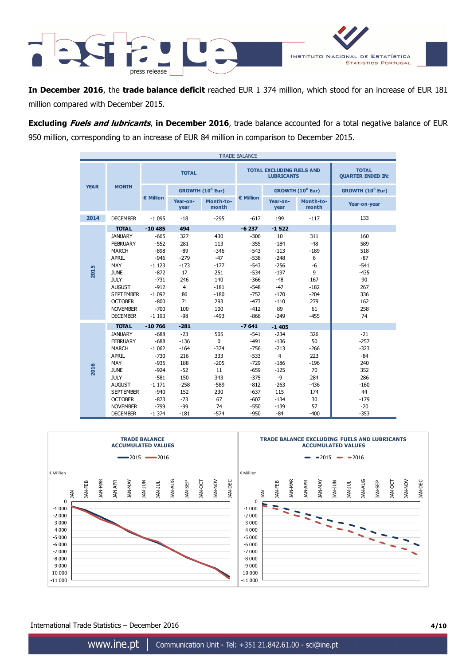

**In December 2016**, the **trade balance deficit** reached EUR 1 374 million, which stood for an increase of EUR 181 million compared with December 2015.

**Excluding Fuels and lubricants**, **in December 2016**, trade balance accounted for a total negative balance of EUR 950 million, corresponding to an increase of EUR 84 million in comparison to December 2015.

| <b>TRADE BALANCE</b> |                  |              |                  |                              |           |                                                       |                              |                                          |  |
|----------------------|------------------|--------------|------------------|------------------------------|-----------|-------------------------------------------------------|------------------------------|------------------------------------------|--|
|                      |                  | <b>TOTAL</b> |                  |                              |           | <b>TOTAL EXCLUDING FUELS AND</b><br><b>LUBRICANTS</b> |                              | <b>TOTAL</b><br><b>QUARTER ENDED IN:</b> |  |
| <b>YEAR</b>          | <b>MONTH</b>     |              |                  | GROWTH (10 <sup>6</sup> Eur) |           |                                                       | GROWTH (10 <sup>6</sup> Eur) | GROWTH (10 <sup>6</sup> Eur)             |  |
|                      |                  | € Million    | Year-on-<br>year | Month-to-<br>month           | € Million | Year-on-<br>year                                      | Month-to-<br>month           | Year-on-year                             |  |
| 2014                 | <b>DECEMBER</b>  | $-1095$      | $-18$            | $-295$                       | $-617$    | 199                                                   | $-117$                       | 133                                      |  |
|                      | <b>TOTAL</b>     | $-10485$     | 494              |                              | $-6237$   | $-1522$                                               |                              |                                          |  |
|                      | <b>JANUARY</b>   | $-665$       | 327              | 430                          | $-306$    | 10                                                    | 311                          | 160                                      |  |
|                      | <b>FEBRUARY</b>  | $-552$       | 281              | 113                          | $-355$    | $-184$                                                | $-48$                        | 589                                      |  |
|                      | <b>MARCH</b>     | $-898$       | $-89$            | $-346$                       | $-543$    | $-113$                                                | $-189$                       | 518                                      |  |
|                      | <b>APRIL</b>     | $-946$       | $-279$           | $-47$                        | $-538$    | $-248$                                                | 6                            | $-87$                                    |  |
|                      | MAY              | $-1123$      | $-173$           | $-177$                       | $-543$    | $-256$                                                | -6                           | $-541$                                   |  |
| 2015                 | <b>JUNE</b>      | $-872$       | 17               | 251                          | $-534$    | $-197$                                                | 9                            | $-435$                                   |  |
|                      | <b>JULY</b>      | $-731$       | 246              | 140                          | $-366$    | $-48$                                                 | 167                          | 90                                       |  |
|                      | <b>AUGUST</b>    | $-912$       | $\overline{4}$   | $-181$                       | $-548$    | $-47$                                                 | $-182$                       | 267                                      |  |
|                      | <b>SEPTEMBER</b> | $-1092$      | 86               | $-180$                       | $-752$    | $-170$                                                | $-204$                       | 336                                      |  |
|                      | <b>OCTOBER</b>   | $-800$       | 71               | 293                          | $-473$    | $-110$                                                | 279                          | 162                                      |  |
|                      | <b>NOVEMBER</b>  | $-700$       | 100              | 100                          | $-412$    | 89                                                    | 61                           | 258                                      |  |
|                      | <b>DECEMBER</b>  | $-1193$      | -98              | $-493$                       | $-866$    | $-249$                                                | $-455$                       | 74                                       |  |
|                      | <b>TOTAL</b>     | $-10766$     | $-281$           |                              | $-7641$   | $-1405$                                               |                              |                                          |  |
|                      | <b>JANUARY</b>   | $-688$       | $-23$            | 505                          | $-541$    | $-234$                                                | 326                          | $-21$                                    |  |
|                      | <b>FEBRUARY</b>  | $-688$       | $-136$           | $\Omega$                     | $-491$    | $-136$                                                | 50                           | $-257$                                   |  |
|                      | <b>MARCH</b>     | $-1062$      | $-164$           | $-374$                       | $-756$    | $-213$                                                | $-266$                       | $-323$                                   |  |
|                      | <b>APRIL</b>     | $-730$       | 216              | 333                          | $-533$    | $\overline{4}$                                        | 223                          | $-84$                                    |  |
|                      | MAY              | $-935$       | 188              | $-205$                       | $-729$    | $-186$                                                | $-196$                       | 240                                      |  |
| 2016                 | <b>JUNE</b>      | $-924$       | $-52$            | 11                           | $-659$    | $-125$                                                | 70                           | 352                                      |  |
|                      | <b>JULY</b>      | $-581$       | 150              | 343                          | $-375$    | -9                                                    | 284                          | 286                                      |  |
|                      | <b>AUGUST</b>    | $-1171$      | $-258$           | $-589$                       | $-812$    | $-263$                                                | $-436$                       | $-160$                                   |  |
|                      | <b>SEPTEMBER</b> | $-940$       | 152              | 230                          | $-637$    | 115                                                   | 174                          | 44                                       |  |
|                      | <b>OCTOBER</b>   | $-873$       | $-73$            | 67                           | $-607$    | $-134$                                                | 30                           | $-179$                                   |  |
|                      | <b>NOVEMBER</b>  | $-799$       | $-99$            | 74                           | $-550$    | $-139$                                                | 57                           | $-20$                                    |  |
|                      | <b>DECEMBER</b>  | $-1374$      | $-181$           | $-574$                       | $-950$    | $-84$                                                 | $-400$                       | $-353$                                   |  |



International Trade Statistics – December 2016 **4/10**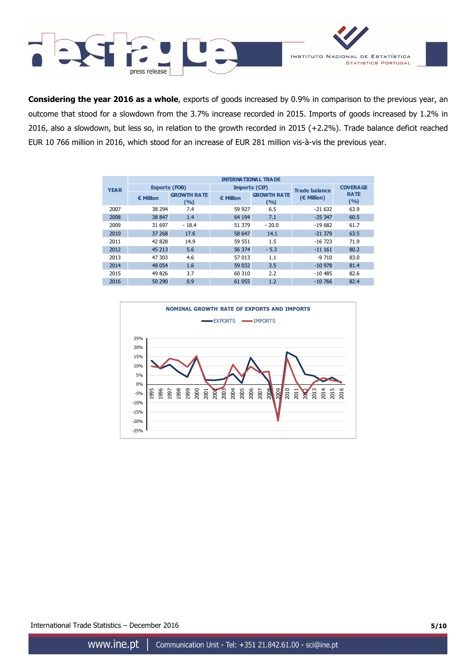



**Considering the year 2016 as a whole**, exports of goods increased by 0.9% in comparison to the previous year, an outcome that stood for a slowdown from the 3.7% increase recorded in 2015. Imports of goods increased by 1.2% in 2016, also a slowdown, but less so, in relation to the growth recorded in 2015 (+2.2%). Trade balance deficit reached EUR 10 766 million in 2016, which stood for an increase of EUR 281 million vis-à-vis the previous year.

|             | <b>INTERNATIONAL TRADE</b> |                             |                      |                             |                      |                      |  |  |  |  |
|-------------|----------------------------|-----------------------------|----------------------|-----------------------------|----------------------|----------------------|--|--|--|--|
| <b>YEAR</b> | <b>Exports (FOB)</b>       |                             | <b>Imports (CIF)</b> |                             | <b>Trade balance</b> | <b>COVERA GE</b>     |  |  |  |  |
|             | € Million                  | <b>GROWTH RATE</b><br>(9/6) | € Million            | <b>GROWTH RATE</b><br>(9/0) | (€ Million)          | <b>RATE</b><br>(9/0) |  |  |  |  |
| 2007        | 38 294                     | 7.4                         | 59 927               | 6.5                         | $-21632$             | 63.9                 |  |  |  |  |
| 2008        | 38 847                     | 1.4                         | 64 194               | 7.1                         | $-25347$             | 60.5                 |  |  |  |  |
| 2009        | 31 697                     | $-18.4$                     | 51 379               | $-20.0$                     | $-19682$             | 61.7                 |  |  |  |  |
| 2010        | 37 268                     | 17.6                        | 58 647               | 14.1                        | $-21379$             | 63.5                 |  |  |  |  |
| 2011        | 42 828                     | 14.9                        | 59 551               | 1.5                         | $-16723$             | 71.9                 |  |  |  |  |
| 2012        | 45 213                     | 5.6                         | 56 374               | $-5.3$                      | $-111161$            | 80.2                 |  |  |  |  |
| 2013        | 47 303                     | 4.6                         | 57 013               | 1.1                         | $-9710$              | 83.0                 |  |  |  |  |
| 2014        | 48 0 54                    | 1.6                         | 59 032               | 3.5                         | $-10978$             | 81.4                 |  |  |  |  |
| 2015        | 49 826                     | 3.7                         | 60 310               | 2.2                         | $-10485$             | 82.6                 |  |  |  |  |
| 2016        | 50 290                     | 0.9                         | 61 055               | 1.2                         | $-10,766$            | 82.4                 |  |  |  |  |



International Trade Statistics – December 2016 **5/10**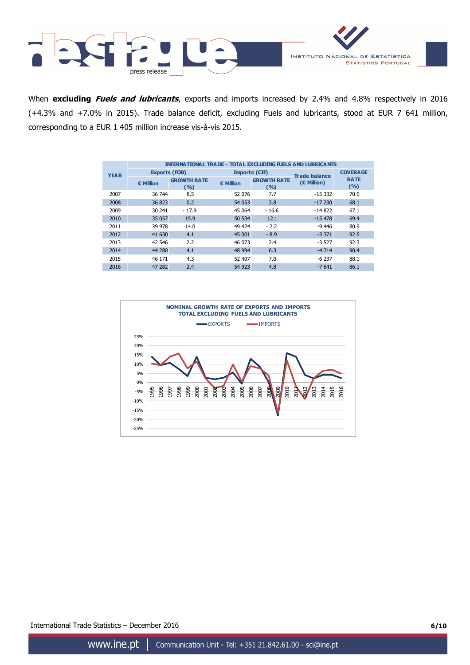



When **excluding Fuels and lubricants**, exports and imports increased by 2.4% and 4.8% respectively in 2016 (+4.3% and +7.0% in 2015). Trade balance deficit, excluding Fuels and lubricants, stood at EUR 7 641 million, corresponding to a EUR 1 405 million increase vis-à-vis 2015.

|             | <b>INTERNATIONAL TRADE - TOTAL EXCLUDING FUELS AND LUBRICANTS</b> |                             |                      |                             |                      |                      |  |  |  |  |
|-------------|-------------------------------------------------------------------|-----------------------------|----------------------|-----------------------------|----------------------|----------------------|--|--|--|--|
| <b>YEAR</b> | <b>Exports (FOB)</b>                                              |                             | <b>Imports (CIF)</b> |                             | <b>Trade balance</b> | <b>COVERA GE</b>     |  |  |  |  |
|             | € Million                                                         | <b>GROWTH RATE</b><br>(9/6) | € Million            | <b>GROWTH RATE</b><br>(9/6) | (€ Million)          | <b>RATE</b><br>(9/6) |  |  |  |  |
| 2007        | 36 744                                                            | 8.5                         | 52 076               | 7.7                         | $-15.332$            | 70.6                 |  |  |  |  |
| 2008        | 36 823                                                            | 0.2                         | 54 053               | 3.8                         | $-17230$             | 68.1                 |  |  |  |  |
| 2009        | 30 241                                                            | $-17.9$                     | 45 064               | $-16.6$                     | $-14822$             | 67.1                 |  |  |  |  |
| 2010        | 35 057                                                            | 15.9                        | 50 534               | 12.1                        | $-15478$             | 69.4                 |  |  |  |  |
| 2011        | 39 978                                                            | 14.0                        | 49 424               | $-2.2$                      | $-9446$              | 80.9                 |  |  |  |  |
| 2012        | 41 630                                                            | 4.1                         | 45 001               | $-8.9$                      | $-3.371$             | 92.5                 |  |  |  |  |
| 2013        | 42 546                                                            | 2.2                         | 46 073               | 2.4                         | $-3.527$             | 92.3                 |  |  |  |  |
| 2014        | 44 280                                                            | 4.1                         | 48 994               | 6.3                         | $-4714$              | 90.4                 |  |  |  |  |
| 2015        | 46 171                                                            | 4.3                         | 52 407               | 7.0                         | $-6237$              | 88.1                 |  |  |  |  |
| 2016        | 47 282                                                            | 2.4                         | 54 923               | 4.8                         | $-7641$              | 86.1                 |  |  |  |  |



International Trade Statistics – December 2016 **6/10**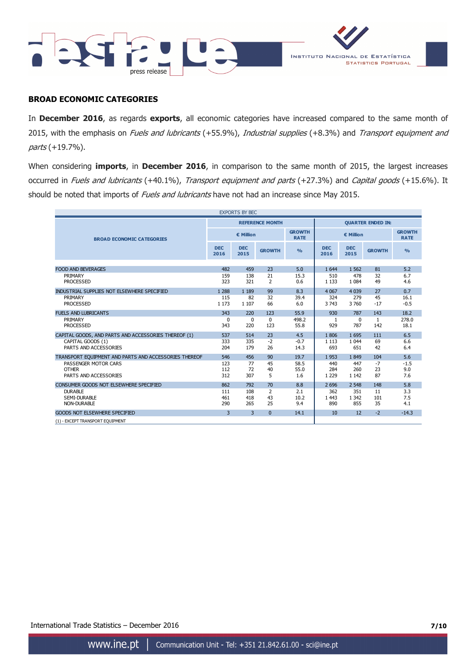



### **BROAD ECONOMIC CATEGORIES**

In **December 2016**, as regards **exports**, all economic categories have increased compared to the same month of 2015, with the emphasis on Fuels and lubricants (+55.9%), Industrial supplies (+8.3%) and Transport equipment and parts (+19.7%).

When considering **imports**, in **December 2016**, in comparison to the same month of 2015, the largest increases occurred in Fuels and lubricants (+40.1%), Transport equipment and parts (+27.3%) and Capital goods (+15.6%). It should be noted that imports of Fuels and lubricants have not had an increase since May 2015.

| <b>EXPORTS BY BEC</b>                                 |                         |                    |                        |                              |                          |                    |               |                              |
|-------------------------------------------------------|-------------------------|--------------------|------------------------|------------------------------|--------------------------|--------------------|---------------|------------------------------|
|                                                       |                         |                    | <b>REFERENCE MONTH</b> |                              | <b>QUARTER ENDED IN:</b> |                    |               |                              |
| <b>BROAD ECONOMIC CATEGORIES</b>                      | € Million               |                    |                        | <b>GROWTH</b><br><b>RATE</b> | € Million                |                    |               | <b>GROWTH</b><br><b>RATE</b> |
|                                                       | <b>DEC</b><br>2016      | <b>DEC</b><br>2015 | <b>GROWTH</b>          | $\frac{0}{0}$                | <b>DEC</b><br>2016       | <b>DEC</b><br>2015 | <b>GROWTH</b> | O <sub>0</sub>               |
|                                                       |                         |                    |                        |                              |                          |                    |               |                              |
| <b>FOOD AND BEVERAGES</b>                             | 482                     | 459                | 23                     | 5.0                          | 1 644                    | 1 5 6 2            | 81            | 5.2                          |
| PRIMARY                                               | 159                     | 138                | 21                     | 15.3                         | 510                      | 478                | 32            | 6.7                          |
| <b>PROCESSED</b>                                      | 323                     | 321                | $\overline{2}$         | 0.6                          | 1 1 3 3                  | 1 0 8 4            | 49            | 4.6                          |
| INDUSTRIAL SUPPLIES NOT ELSEWHERE SPECIFIED           | 1 2 8 8                 | 1 1 8 9            | 99                     | 8.3                          | 4 0 6 7                  | 4 0 3 9            | 27            | 0.7                          |
| PRIMARY                                               | 115                     | 82                 | 32                     | 39.4                         | 324                      | 279                | 45            | 16.1                         |
| <b>PROCESSED</b>                                      | 1 1 7 3                 | 1 1 0 7            | 66                     | 6.0                          | 3 7 4 3                  | 3760               | $-17$         | $-0.5$                       |
| <b>FUELS AND LUBRICANTS</b>                           | 343                     | 220                | 123                    | 55.9                         | 930                      | 787                | 143           | 18.2                         |
| PRIMARY                                               | $\Omega$                | $\Omega$           | $\Omega$               | 498.2                        | $\mathbf{1}$             | $\Omega$           | $\mathbf{1}$  | 278.0                        |
| <b>PROCESSED</b>                                      | 343                     | 220                | 123                    | 55.8                         | 929                      | 787                | 142           | 18.1                         |
| CAPITAL GOODS, AND PARTS AND ACCESSORIES THEREOF (1)  | 537                     | 514                | 23                     | 4.5                          | 1806                     | 1695               | 111           | 6.5                          |
| CAPITAL GOODS (1)                                     | 333                     | 335                | $-2$                   | $-0.7$                       | 1 1 1 3                  | 1 0 4 4            | 69            | 6.6                          |
| PARTS AND ACCESSORIES                                 | 204                     | 179                | 26                     | 14.3                         | 693                      | 651                | 42            | 6.4                          |
| TRANSPORT EQUIPMENT AND PARTS AND ACCESSORIES THEREOF | 546                     | 456                | 90                     | 19.7                         | 1953                     | 1849               | 104           | 5.6                          |
| PASSENGER MOTOR CARS                                  | 123                     | 77                 | 45                     | 58.5                         | 440                      | 447                | $-7$          | $-1.5$                       |
| <b>OTHER</b>                                          | 112                     | 72                 | 40                     | 55.0                         | 284                      | 260                | 23            | 9.0                          |
| PARTS AND ACCESSORIES                                 | 312                     | 307                | 5                      | 1.6                          | 1 2 2 9                  | 1 1 4 2            | 87            | 7.6                          |
| CONSUMER GOODS NOT ELSEWHERE SPECIFIED                | 862                     | 792                | 70                     | 8.8                          | 2 6 9 6                  | 2 5 4 8            | 148           | 5.8                          |
| <b>DURABLE</b>                                        | 111                     | 108                | $\overline{2}$         | 2.1                          | 362                      | 351                | 11            | 3.3                          |
| SEMI-DURABLE                                          | 461                     | 418                | 43                     | 10.2                         | 1 4 4 3                  | 1 3 4 2            | 101           | 7.5                          |
| <b>NON-DURABLE</b>                                    | 290                     | 265                | 25                     | 9.4                          | 890                      | 855                | 35            | 4.1                          |
| GOODS NOT ELSEWHERE SPECIFIED                         | $\overline{\mathbf{3}}$ | $\overline{3}$     | $\Omega$               | 14.1                         | 10                       | 12                 | $-2$          | $-14.3$                      |
| (1) - EXCEPT TRANSPORT EQUIPMENT                      |                         |                    |                        |                              |                          |                    |               |                              |

International Trade Statistics – December 2016 **7/10**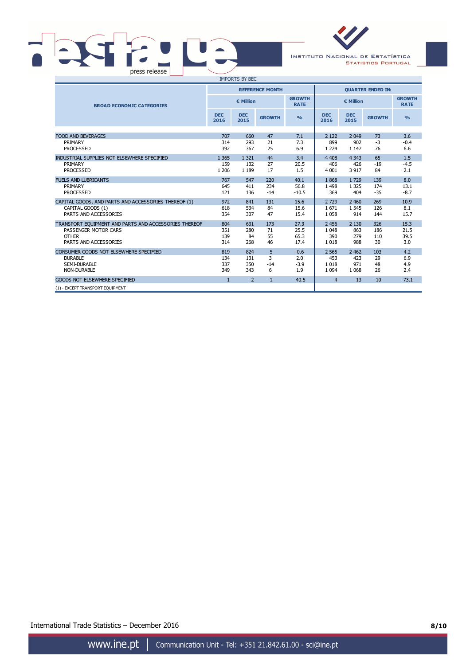# **PASTR** LE press release



**STATISTICS PORTUGAL** 

| <b>IMPORTS BY BEC</b>                                 |                    |                            |                        |                |                          |                    |               |                              |
|-------------------------------------------------------|--------------------|----------------------------|------------------------|----------------|--------------------------|--------------------|---------------|------------------------------|
|                                                       |                    |                            | <b>REFERENCE MONTH</b> |                | <b>OUARTER ENDED IN:</b> |                    |               |                              |
| <b>BROAD ECONOMIC CATEGORIES</b>                      |                    | <b>GROWTH</b><br>€ Million |                        |                | € Million                |                    |               | <b>GROWTH</b><br><b>RATE</b> |
|                                                       | <b>DEC</b><br>2016 | <b>DEC</b><br>2015         | <b>GROWTH</b>          | O <sub>0</sub> | <b>DEC</b><br>2016       | <b>DEC</b><br>2015 | <b>GROWTH</b> | O <sub>0</sub>               |
|                                                       |                    |                            |                        |                |                          |                    |               |                              |
| <b>FOOD AND BEVERAGES</b>                             | 707                | 660                        | 47                     | 7.1            | 2 1 2 2                  | 2 0 4 9            | 73            | 3.6                          |
| PRIMARY<br><b>PROCESSED</b>                           | 314<br>392         | 293<br>367                 | 21<br>25               | 7.3<br>6.9     | 899<br>1 2 2 4           | 902<br>1 1 4 7     | $-3$<br>76    | $-0.4$<br>6.6                |
| INDUSTRIAL SUPPLIES NOT ELSEWHERE SPECIFIED           | 1 3 6 5            | 1 3 2 1                    | 44                     | 3.4            | 4 4 0 8                  | 4 3 4 3            | 65            | 1.5                          |
| PRIMARY                                               | 159                | 132                        | 27                     | 20.5           | 406                      | 426                | $-19$         | $-4.5$                       |
| <b>PROCESSED</b>                                      | 1 2 0 6            | 1 1 8 9                    | 17                     | 1.5            | 4 0 0 1                  | 3 9 1 7            | 84            | 2.1                          |
| <b>FUELS AND LUBRICANTS</b>                           | 767                | 547                        | 220                    | 40.1           | 1868                     | 1729               | 139           | 8.0                          |
| PRIMARY                                               | 645                | 411                        | 234                    | 56.8           | 1498                     | 1 3 2 5            | 174           | 13.1                         |
| <b>PROCESSED</b>                                      | 121                | 136                        | $-14$                  | $-10.5$        | 369                      | 404                | $-35$         | $-8.7$                       |
| CAPITAL GOODS, AND PARTS AND ACCESSORIES THEREOF (1)  | 972                | 841                        | 131                    | 15.6           | 2729                     | 2 4 6 0            | 269           | 10.9                         |
| CAPITAL GOODS (1)                                     | 618                | 534                        | 84                     | 15.6           | 1671                     | 1 5 4 5            | 126           | 8.1                          |
| PARTS AND ACCESSORIES                                 | 354                | 307                        | 47                     | 15.4           | 1 0 5 8                  | 914                | 144           | 15.7                         |
| TRANSPORT EQUIPMENT AND PARTS AND ACCESSORIES THEREOF | 804                | 631                        | 173                    | 27.3           | 2 4 5 6                  | 2 1 3 0            | 326           | 15.3                         |
| PASSENGER MOTOR CARS                                  | 351                | 280                        | 71                     | 25.5           | 1 0 4 8                  | 863                | 186           | 21.5                         |
| <b>OTHER</b>                                          | 139                | 84                         | 55                     | 65.3           | 390                      | 279                | 110           | 39.5                         |
| PARTS AND ACCESSORIES                                 | 314                | 268                        | 46                     | 17.4           | 1018                     | 988                | 30            | 3.0                          |
| CONSUMER GOODS NOT ELSEWHERE SPECIFIED                | 819                | 824                        | $-5$                   | $-0.6$         | 2 5 6 5                  | 2 4 6 2            | 103           | 4.2                          |
| <b>DURABLE</b>                                        | 134                | 131                        | 3                      | 2.0            | 453                      | 423                | 29            | 6.9                          |
| SEMI-DURABLE                                          | 337                | 350                        | $-14$                  | $-3.9$         | 1018                     | 971                | 48            | 4.9                          |
| <b>NON-DURABLE</b>                                    | 349                | 343                        | 6                      | 1.9            | 1 0 9 4                  | 1 0 6 8            | 26            | 2.4                          |
| <b>GOODS NOT ELSEWHERE SPECIFIED</b>                  | $\mathbf{1}$       | $\overline{2}$             | $-1$                   | $-40.5$        | $\overline{4}$           | 13                 | $-10$         | $-73.1$                      |
| (1) - EXCEPT TRANSPORT EQUIPMENT                      |                    |                            |                        |                |                          |                    |               |                              |

International Trade Statistics – December 2016 **8/10**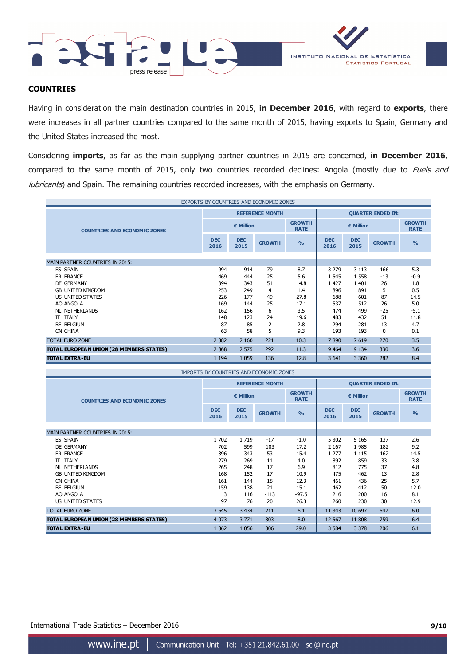



## **COUNTRIES**

Having in consideration the main destination countries in 2015, **in December 2016**, with regard to **exports**, there were increases in all partner countries compared to the same month of 2015, having exports to Spain, Germany and the United States increased the most.

Considering **imports**, as far as the main supplying partner countries in 2015 are concerned, **in December 2016**, compared to the same month of 2015, only two countries recorded declines: Angola (mostly due to Fuels and lubricants) and Spain. The remaining countries recorded increases, with the emphasis on Germany.

| EXPORTS BY COUNTRIES AND ECONOMIC ZONES  |                    |                    |                        |                              |                          |                    |               |                              |
|------------------------------------------|--------------------|--------------------|------------------------|------------------------------|--------------------------|--------------------|---------------|------------------------------|
|                                          |                    |                    | <b>REFERENCE MONTH</b> |                              | <b>QUARTER ENDED IN:</b> |                    |               |                              |
| <b>COUNTRIES AND ECONOMIC ZONES</b>      |                    | € Million          |                        | <b>GROWTH</b><br><b>RATE</b> |                          | € Million          |               | <b>GROWTH</b><br><b>RATE</b> |
|                                          | <b>DEC</b><br>2016 | <b>DEC</b><br>2015 | <b>GROWTH</b>          | $\frac{9}{6}$                | <b>DEC</b><br>2016       | <b>DEC</b><br>2015 | <b>GROWTH</b> | $\frac{0}{0}$                |
|                                          |                    |                    |                        |                              |                          |                    |               |                              |
| <b>MAIN PARTNER COUNTRIES IN 2015:</b>   |                    |                    |                        |                              |                          |                    |               |                              |
| ES SPAIN                                 | 994                | 914                | 79                     | 8.7                          | 3 2 7 9                  | 3 1 1 3            | 166           | 5.3                          |
| FR FRANCE                                | 469                | 444                | 25                     | 5.6                          | 1 5 4 5                  | 1558               | $-13$         | $-0.9$                       |
| DE GERMANY                               | 394                | 343                | 51                     | 14.8                         | 1 4 2 7                  | 1401               | 26            | 1.8                          |
| <b>GB UNITED KINGDOM</b>                 | 253                | 249                | 4                      | 1.4                          | 896                      | 891                | 5             | 0.5                          |
| US UNITED STATES                         | 226                | 177                | 49                     | 27.8                         | 688                      | 601                | 87            | 14.5                         |
| AO ANGOLA                                | 169                | 144                | 25                     | 17.1                         | 537                      | 512                | 26            | 5.0                          |
| NL NETHERLANDS                           | 162                | 156                | 6                      | 3.5                          | 474                      | 499                | $-25$         | $-5.1$                       |
| IT ITALY                                 | 148                | 123                | 24                     | 19.6                         | 483                      | 432                | 51            | 11.8                         |
| BE BELGIUM                               | 87                 | 85                 | 2                      | 2.8                          | 294                      | 281                | 13            | 4.7                          |
| CN CHINA                                 | 63                 | 58                 | 5                      | 9.3                          | 193                      | 193                | 0             | 0.1                          |
| <b>TOTAL EURO ZONE</b>                   | 2 3 8 2            | 2 1 6 0            | 221                    | 10.3                         | 7890                     | 7619               | 270           | 3.5                          |
| TOTAL EUROPEAN UNION (28 MEMBERS STATES) | 2 8 6 8            | 2 5 7 5            | 292                    | 11.3                         | 9 4 64                   | 9 1 3 4            | 330           | 3.6                          |
| <b>TOTAL EXTRA-EU</b>                    | 1 1 9 4            | 1 0 5 9            | 136                    | 12.8                         | 3 6 4 1                  | 3 3 6 0            | 282           | 8.4                          |

| IMPORTS BY COUNTRIES AND ECONOMIC ZONES  |                    |                    |                        |                              |                          |                    |               |                              |
|------------------------------------------|--------------------|--------------------|------------------------|------------------------------|--------------------------|--------------------|---------------|------------------------------|
|                                          |                    |                    | <b>REFERENCE MONTH</b> |                              | <b>QUARTER ENDED IN:</b> |                    |               |                              |
| <b>COUNTRIES AND ECONOMIC ZONES</b>      |                    | € Million          |                        | <b>GROWTH</b><br><b>RATE</b> |                          | € Million          |               | <b>GROWTH</b><br><b>RATE</b> |
|                                          | <b>DEC</b><br>2016 | <b>DEC</b><br>2015 | <b>GROWTH</b>          | $\frac{9}{6}$                | <b>DEC</b><br>2016       | <b>DEC</b><br>2015 | <b>GROWTH</b> | $\frac{9}{6}$                |
| <b>MAIN PARTNER COUNTRIES IN 2015:</b>   |                    |                    |                        |                              |                          |                    |               |                              |
| ES SPAIN                                 | 1702               | 1719               | $-17$                  | $-1.0$                       | 5 3 0 2                  | 5 1 6 5            | 137           | 2.6                          |
| DE GERMANY                               | 702                | 599                | 103                    | 17.2                         | 2 1 6 7                  | 1985               | 182           | 9.2                          |
| FR FRANCE                                | 396                | 343                | 53                     | 15.4                         | 1 2 7 7                  | 1 1 1 5            | 162           | 14.5                         |
| IT ITALY                                 | 279                | 269                | 11                     | 4.0                          | 892                      | 859                | 33            | 3.8                          |
| NL NETHERLANDS                           | 265                | 248                | 17                     | 6.9                          | 812                      | 775                | 37            | 4.8                          |
| <b>GB UNITED KINGDOM</b>                 | 168                | 152                | 17                     | 10.9                         | 475                      | 462                | 13            | 2.8                          |
| CN CHINA                                 | 161                | 144                | 18                     | 12.3                         | 461                      | 436                | 25            | 5.7                          |
| BE BELGIUM                               | 159                | 138                | 21                     | 15.1                         | 462                      | 412                | 50            | 12.0                         |
| AO ANGOLA                                | 3                  | 116                | $-113$                 | $-97.6$                      | 216                      | 200                | 16            | 8.1                          |
| US UNITED STATES                         | 97                 | 76                 | 20                     | 26.3                         | 260                      | 230                | 30            | 12.9                         |
| <b>TOTAL EURO ZONE</b>                   | 3 6 4 5            | 3 4 3 4            | 211                    | 6.1                          | 11 3 43                  | 10 697             | 647           | 6.0                          |
| TOTAL EUROPEAN UNION (28 MEMBERS STATES) | 4 0 73             | 3771               | 303                    | 8.0                          | 12 5 67                  | 11 808             | 759           | 6.4                          |
| <b>TOTAL EXTRA-EU</b>                    | 1 3 6 2            | 1056               | 306                    | 29.0                         | 3 5 8 4                  | 3 3 7 8            | 206           | 6.1                          |

www.ine.pt